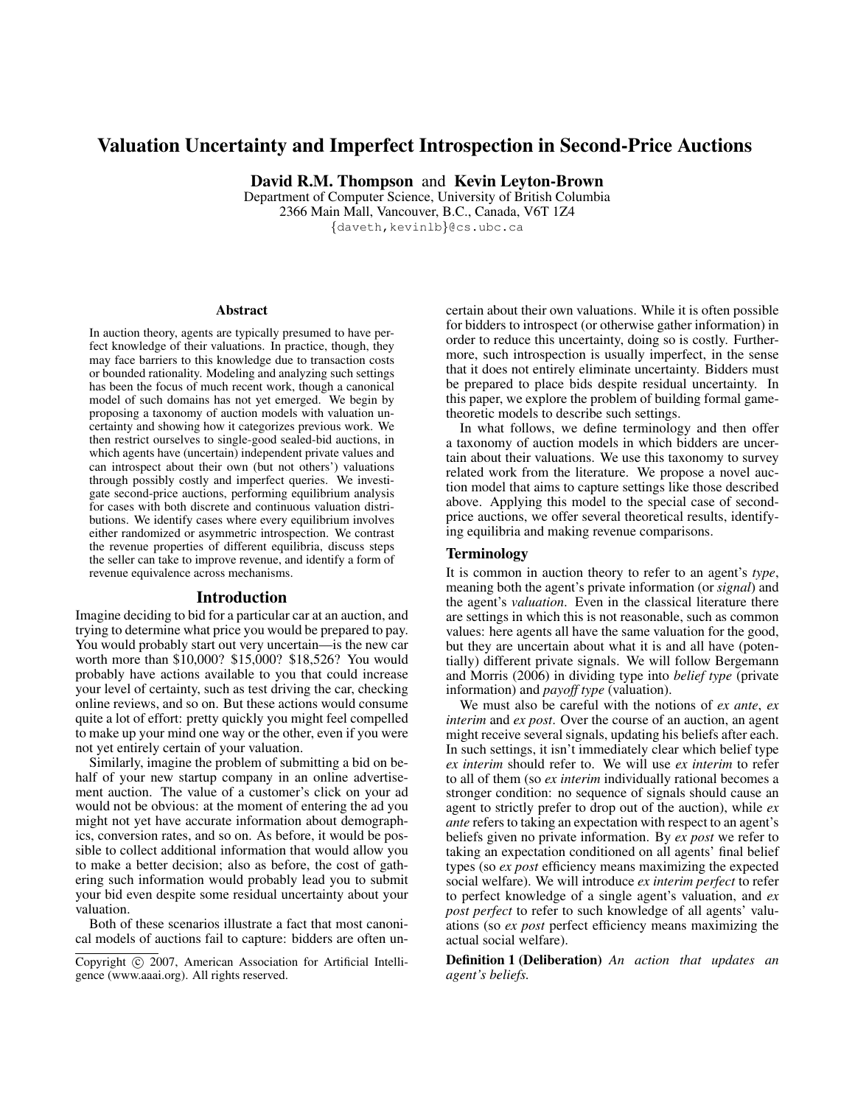# Valuation Uncertainty and Imperfect Introspection in Second-Price Auctions

David R.M. Thompson and Kevin Leyton-Brown

Department of Computer Science, University of British Columbia 2366 Main Mall, Vancouver, B.C., Canada, V6T 1Z4 {daveth,kevinlb}@cs.ubc.ca

#### **Abstract**

In auction theory, agents are typically presumed to have perfect knowledge of their valuations. In practice, though, they may face barriers to this knowledge due to transaction costs or bounded rationality. Modeling and analyzing such settings has been the focus of much recent work, though a canonical model of such domains has not yet emerged. We begin by proposing a taxonomy of auction models with valuation uncertainty and showing how it categorizes previous work. We then restrict ourselves to single-good sealed-bid auctions, in which agents have (uncertain) independent private values and can introspect about their own (but not others') valuations through possibly costly and imperfect queries. We investigate second-price auctions, performing equilibrium analysis for cases with both discrete and continuous valuation distributions. We identify cases where every equilibrium involves either randomized or asymmetric introspection. We contrast the revenue properties of different equilibria, discuss steps the seller can take to improve revenue, and identify a form of revenue equivalence across mechanisms.

#### Introduction

Imagine deciding to bid for a particular car at an auction, and trying to determine what price you would be prepared to pay. You would probably start out very uncertain—is the new car worth more than \$10,000? \$15,000? \$18,526? You would probably have actions available to you that could increase your level of certainty, such as test driving the car, checking online reviews, and so on. But these actions would consume quite a lot of effort: pretty quickly you might feel compelled to make up your mind one way or the other, even if you were not yet entirely certain of your valuation.

Similarly, imagine the problem of submitting a bid on behalf of your new startup company in an online advertisement auction. The value of a customer's click on your ad would not be obvious: at the moment of entering the ad you might not yet have accurate information about demographics, conversion rates, and so on. As before, it would be possible to collect additional information that would allow you to make a better decision; also as before, the cost of gathering such information would probably lead you to submit your bid even despite some residual uncertainty about your valuation.

Both of these scenarios illustrate a fact that most canonical models of auctions fail to capture: bidders are often uncertain about their own valuations. While it is often possible for bidders to introspect (or otherwise gather information) in order to reduce this uncertainty, doing so is costly. Furthermore, such introspection is usually imperfect, in the sense that it does not entirely eliminate uncertainty. Bidders must be prepared to place bids despite residual uncertainty. In this paper, we explore the problem of building formal gametheoretic models to describe such settings.

In what follows, we define terminology and then offer a taxonomy of auction models in which bidders are uncertain about their valuations. We use this taxonomy to survey related work from the literature. We propose a novel auction model that aims to capture settings like those described above. Applying this model to the special case of secondprice auctions, we offer several theoretical results, identifying equilibria and making revenue comparisons.

## Terminology

It is common in auction theory to refer to an agent's *type*, meaning both the agent's private information (or *signal*) and the agent's *valuation*. Even in the classical literature there are settings in which this is not reasonable, such as common values: here agents all have the same valuation for the good, but they are uncertain about what it is and all have (potentially) different private signals. We will follow Bergemann and Morris (2006) in dividing type into *belief type* (private information) and *payoff type* (valuation).

We must also be careful with the notions of *ex ante*, *ex interim* and *ex post*. Over the course of an auction, an agent might receive several signals, updating his beliefs after each. In such settings, it isn't immediately clear which belief type *ex interim* should refer to. We will use *ex interim* to refer to all of them (so *ex interim* individually rational becomes a stronger condition: no sequence of signals should cause an agent to strictly prefer to drop out of the auction), while *ex ante* refers to taking an expectation with respect to an agent's beliefs given no private information. By *ex post* we refer to taking an expectation conditioned on all agents' final belief types (so *ex post* efficiency means maximizing the expected social welfare). We will introduce *ex interim perfect* to refer to perfect knowledge of a single agent's valuation, and *ex post perfect* to refer to such knowledge of all agents' valuations (so *ex post* perfect efficiency means maximizing the actual social welfare).

Definition 1 (Deliberation) *An action that updates an agent's beliefs.*

Copyright (c) 2007, American Association for Artificial Intelligence (www.aaai.org). All rights reserved.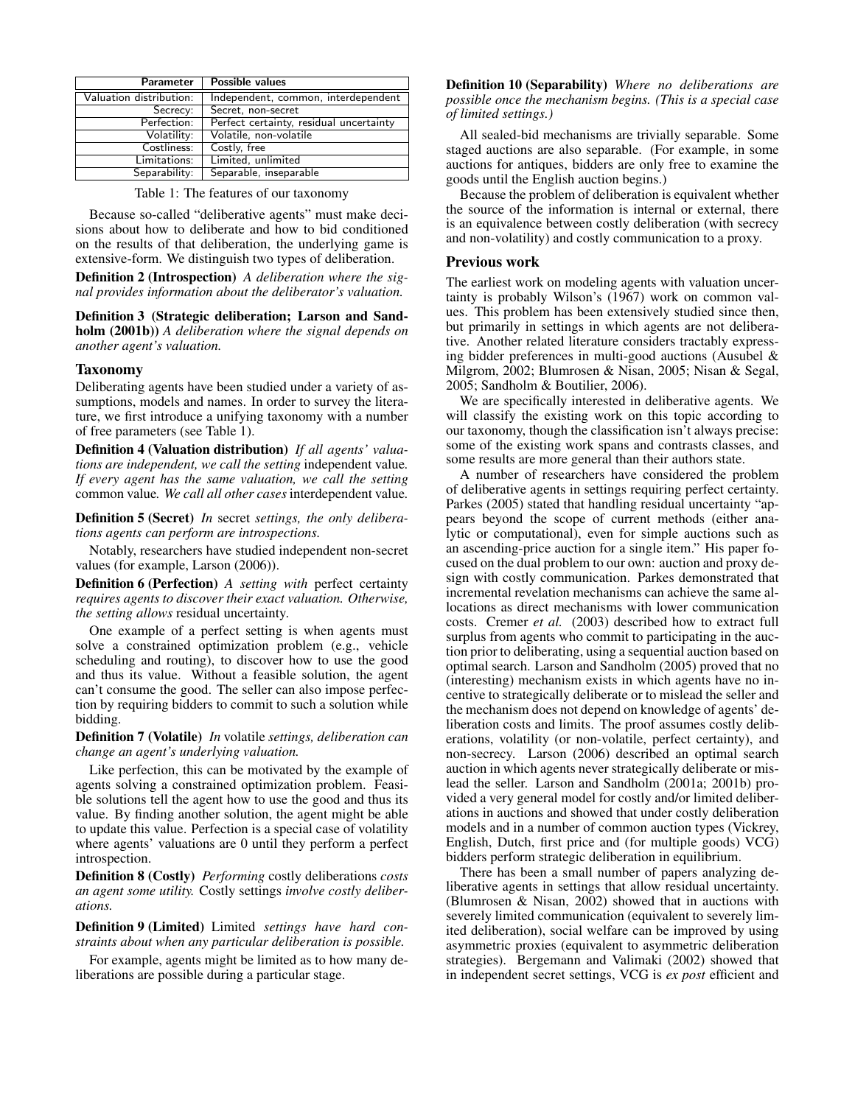| Parameter               | Possible values                         |
|-------------------------|-----------------------------------------|
| Valuation distribution: | Independent, common, interdependent     |
| Secrecy:                | Secret, non-secret                      |
| Perfection:             | Perfect certainty, residual uncertainty |
| Volatility:             | Volatile, non-volatile                  |
| Costliness:             | Costly, free                            |
| Limitations:            | Limited, unlimited                      |
| Separability:           | Separable, inseparable                  |

Table 1: The features of our taxonomy

Because so-called "deliberative agents" must make decisions about how to deliberate and how to bid conditioned on the results of that deliberation, the underlying game is extensive-form. We distinguish two types of deliberation.

Definition 2 (Introspection) *A deliberation where the signal provides information about the deliberator's valuation.*

Definition 3 (Strategic deliberation; Larson and Sandholm (2001b)) *A deliberation where the signal depends on another agent's valuation.*

#### Taxonomy

Deliberating agents have been studied under a variety of assumptions, models and names. In order to survey the literature, we first introduce a unifying taxonomy with a number of free parameters (see Table 1).

Definition 4 (Valuation distribution) *If all agents' valuations are independent, we call the setting* independent value*. If every agent has the same valuation, we call the setting* common value*. We call all other cases* interdependent value*.*

Definition 5 (Secret) *In* secret *settings, the only deliberations agents can perform are introspections.*

Notably, researchers have studied independent non-secret values (for example, Larson (2006)).

Definition 6 (Perfection) *A setting with* perfect certainty *requires agents to discover their exact valuation. Otherwise, the setting allows* residual uncertainty*.*

One example of a perfect setting is when agents must solve a constrained optimization problem (e.g., vehicle scheduling and routing), to discover how to use the good and thus its value. Without a feasible solution, the agent can't consume the good. The seller can also impose perfection by requiring bidders to commit to such a solution while bidding.

Definition 7 (Volatile) *In* volatile *settings, deliberation can change an agent's underlying valuation.*

Like perfection, this can be motivated by the example of agents solving a constrained optimization problem. Feasible solutions tell the agent how to use the good and thus its value. By finding another solution, the agent might be able to update this value. Perfection is a special case of volatility where agents' valuations are 0 until they perform a perfect introspection.

Definition 8 (Costly) *Performing* costly deliberations *costs an agent some utility.* Costly settings *involve costly deliberations.*

Definition 9 (Limited) Limited *settings have hard constraints about when any particular deliberation is possible.*

For example, agents might be limited as to how many deliberations are possible during a particular stage.

Definition 10 (Separability) *Where no deliberations are possible once the mechanism begins. (This is a special case of limited settings.)*

All sealed-bid mechanisms are trivially separable. Some staged auctions are also separable. (For example, in some auctions for antiques, bidders are only free to examine the goods until the English auction begins.)

Because the problem of deliberation is equivalent whether the source of the information is internal or external, there is an equivalence between costly deliberation (with secrecy and non-volatility) and costly communication to a proxy.

### Previous work

The earliest work on modeling agents with valuation uncertainty is probably Wilson's (1967) work on common values. This problem has been extensively studied since then, but primarily in settings in which agents are not deliberative. Another related literature considers tractably expressing bidder preferences in multi-good auctions (Ausubel & Milgrom, 2002; Blumrosen & Nisan, 2005; Nisan & Segal, 2005; Sandholm & Boutilier, 2006).

We are specifically interested in deliberative agents. We will classify the existing work on this topic according to our taxonomy, though the classification isn't always precise: some of the existing work spans and contrasts classes, and some results are more general than their authors state.

A number of researchers have considered the problem of deliberative agents in settings requiring perfect certainty. Parkes (2005) stated that handling residual uncertainty "appears beyond the scope of current methods (either analytic or computational), even for simple auctions such as an ascending-price auction for a single item." His paper focused on the dual problem to our own: auction and proxy design with costly communication. Parkes demonstrated that incremental revelation mechanisms can achieve the same allocations as direct mechanisms with lower communication costs. Cremer *et al.* (2003) described how to extract full surplus from agents who commit to participating in the auction prior to deliberating, using a sequential auction based on optimal search. Larson and Sandholm (2005) proved that no (interesting) mechanism exists in which agents have no incentive to strategically deliberate or to mislead the seller and the mechanism does not depend on knowledge of agents' deliberation costs and limits. The proof assumes costly deliberations, volatility (or non-volatile, perfect certainty), and non-secrecy. Larson (2006) described an optimal search auction in which agents never strategically deliberate or mislead the seller. Larson and Sandholm (2001a; 2001b) provided a very general model for costly and/or limited deliberations in auctions and showed that under costly deliberation models and in a number of common auction types (Vickrey, English, Dutch, first price and (for multiple goods) VCG) bidders perform strategic deliberation in equilibrium.

There has been a small number of papers analyzing deliberative agents in settings that allow residual uncertainty. (Blumrosen & Nisan, 2002) showed that in auctions with severely limited communication (equivalent to severely limited deliberation), social welfare can be improved by using asymmetric proxies (equivalent to asymmetric deliberation strategies). Bergemann and Valimaki (2002) showed that in independent secret settings, VCG is *ex post* efficient and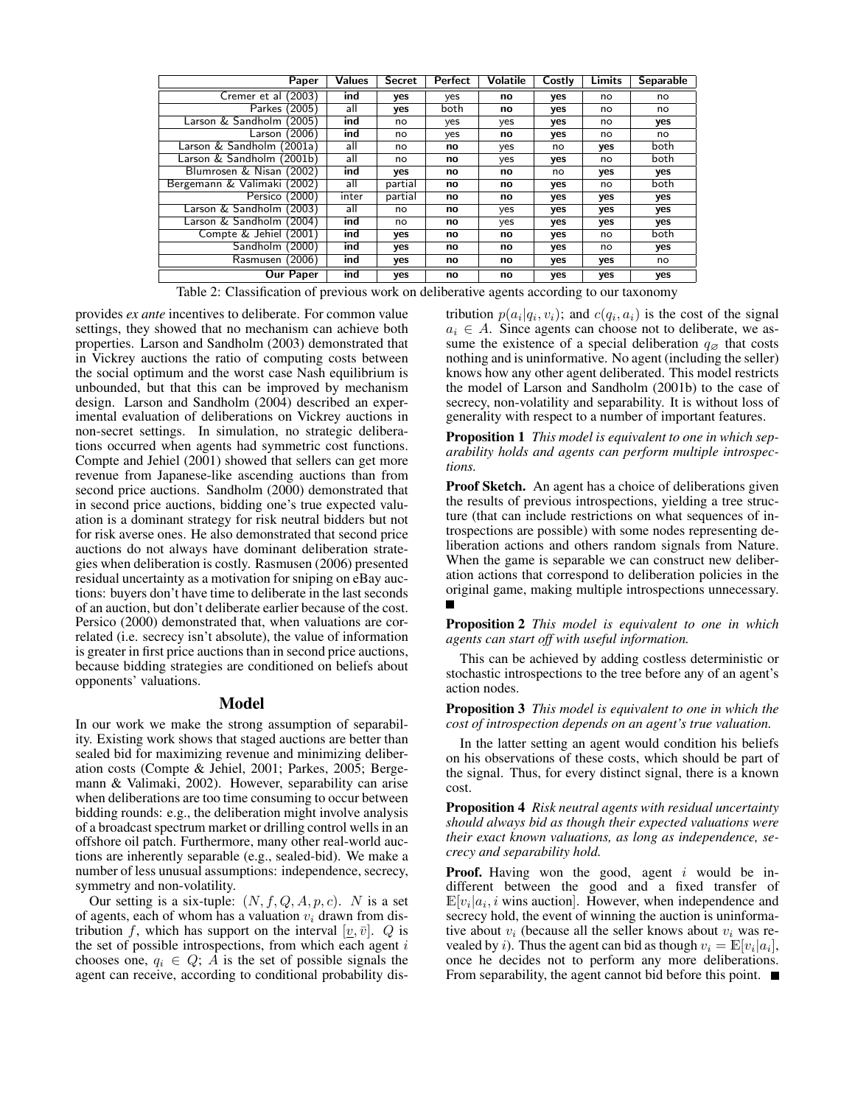| Paper                       | <b>Values</b> | <b>Secret</b> | Perfect | Volatile | Costly | Limits | <b>Separable</b> |
|-----------------------------|---------------|---------------|---------|----------|--------|--------|------------------|
| Cremer et al (2003)         | ind           | yes           | yes     | no       | yes    | no     | no               |
| Parkes (2005)               | all           | yes           | both    | no       | yes    | no     | no               |
| Larson & Sandholm (2005)    | ind           | no            | ves     | yes      | yes    | no     | yes              |
| Larson $(2006)$             | ind           | no            | yes     | no       | yes    | no     | no               |
| Larson & Sandholm (2001a)   | all           | no            | no      | yes      | no     | yes    | both             |
| Larson & Sandholm (2001b)   | all           | no            | no      | yes      | yes    | no     | both             |
| Blumrosen & Nisan (2002)    | ind           | yes           | no      | no       | no     | yes    | yes              |
| Bergemann & Valimaki (2002) | all           | partial       | no      | no       | yes    | no     | both             |
| Persico (2000)              | inter         | partial       | no      | no       | yes    | yes    | yes              |
| Larson & Sandholm (2003)    | all           | no            | no      | yes      | yes    | yes    | yes              |
| Larson & Sandholm (2004)    | ind           | no            | no      | yes      | yes    | yes    | yes              |
| Compte & Jehiel (2001)      | ind           | yes           | no      | no       | yes    | no     | both             |
| Sandholm<br>(2000)          | ind           | yes           | no      | no       | yes    | no     | yes              |
| Rasmusen (2006)             | ind           | yes           | no      | no       | yes    | yes    | no               |
| Our Paper                   | ind           | yes           | no      | no       | yes    | ves    | yes              |

Table 2: Classification of previous work on deliberative agents according to our taxonomy

provides *ex ante* incentives to deliberate. For common value settings, they showed that no mechanism can achieve both properties. Larson and Sandholm (2003) demonstrated that in Vickrey auctions the ratio of computing costs between the social optimum and the worst case Nash equilibrium is unbounded, but that this can be improved by mechanism design. Larson and Sandholm (2004) described an experimental evaluation of deliberations on Vickrey auctions in non-secret settings. In simulation, no strategic deliberations occurred when agents had symmetric cost functions. Compte and Jehiel (2001) showed that sellers can get more revenue from Japanese-like ascending auctions than from second price auctions. Sandholm (2000) demonstrated that in second price auctions, bidding one's true expected valuation is a dominant strategy for risk neutral bidders but not for risk averse ones. He also demonstrated that second price auctions do not always have dominant deliberation strategies when deliberation is costly. Rasmusen (2006) presented residual uncertainty as a motivation for sniping on eBay auctions: buyers don't have time to deliberate in the last seconds of an auction, but don't deliberate earlier because of the cost. Persico (2000) demonstrated that, when valuations are correlated (i.e. secrecy isn't absolute), the value of information is greater in first price auctions than in second price auctions, because bidding strategies are conditioned on beliefs about opponents' valuations.

#### Model

In our work we make the strong assumption of separability. Existing work shows that staged auctions are better than sealed bid for maximizing revenue and minimizing deliberation costs (Compte & Jehiel, 2001; Parkes, 2005; Bergemann & Valimaki, 2002). However, separability can arise when deliberations are too time consuming to occur between bidding rounds: e.g., the deliberation might involve analysis of a broadcast spectrum market or drilling control wells in an offshore oil patch. Furthermore, many other real-world auctions are inherently separable (e.g., sealed-bid). We make a number of less unusual assumptions: independence, secrecy, symmetry and non-volatility.

Our setting is a six-tuple:  $(N, f, Q, A, p, c)$ . N is a set of agents, each of whom has a valuation  $v_i$  drawn from distribution f, which has support on the interval  $[v, \bar{v}]$ . Q is the set of possible introspections, from which each agent  $i$ chooses one,  $q_i \in Q$ ; A is the set of possible signals the agent can receive, according to conditional probability dis-

tribution  $p(a_i|q_i, v_i)$ ; and  $c(q_i, a_i)$  is the cost of the signal  $a_i \in A$ . Since agents can choose not to deliberate, we assume the existence of a special deliberation  $q_{\emptyset}$  that costs nothing and is uninformative. No agent (including the seller) knows how any other agent deliberated. This model restricts the model of Larson and Sandholm (2001b) to the case of secrecy, non-volatility and separability. It is without loss of generality with respect to a number of important features.

Proposition 1 *This model is equivalent to one in which separability holds and agents can perform multiple introspections.*

Proof Sketch. An agent has a choice of deliberations given the results of previous introspections, yielding a tree structure (that can include restrictions on what sequences of introspections are possible) with some nodes representing deliberation actions and others random signals from Nature. When the game is separable we can construct new deliberation actions that correspond to deliberation policies in the original game, making multiple introspections unnecessary.

Proposition 2 *This model is equivalent to one in which agents can start off with useful information.*

This can be achieved by adding costless deterministic or stochastic introspections to the tree before any of an agent's action nodes.

Proposition 3 *This model is equivalent to one in which the cost of introspection depends on an agent's true valuation.*

In the latter setting an agent would condition his beliefs on his observations of these costs, which should be part of the signal. Thus, for every distinct signal, there is a known cost.

Proposition 4 *Risk neutral agents with residual uncertainty should always bid as though their expected valuations were their exact known valuations, as long as independence, secrecy and separability hold.*

**Proof.** Having won the good, agent  $i$  would be indifferent between the good and a fixed transfer of  $\mathbb{E}[v_i|a_i]$ , i wins auction. However, when independence and secrecy hold, the event of winning the auction is uninformative about  $v_i$  (because all the seller knows about  $v_i$  was revealed by *i*). Thus the agent can bid as though  $v_i = \mathbb{E}[v_i|a_i]$ , once he decides not to perform any more deliberations. From separability, the agent cannot bid before this point.  $\blacksquare$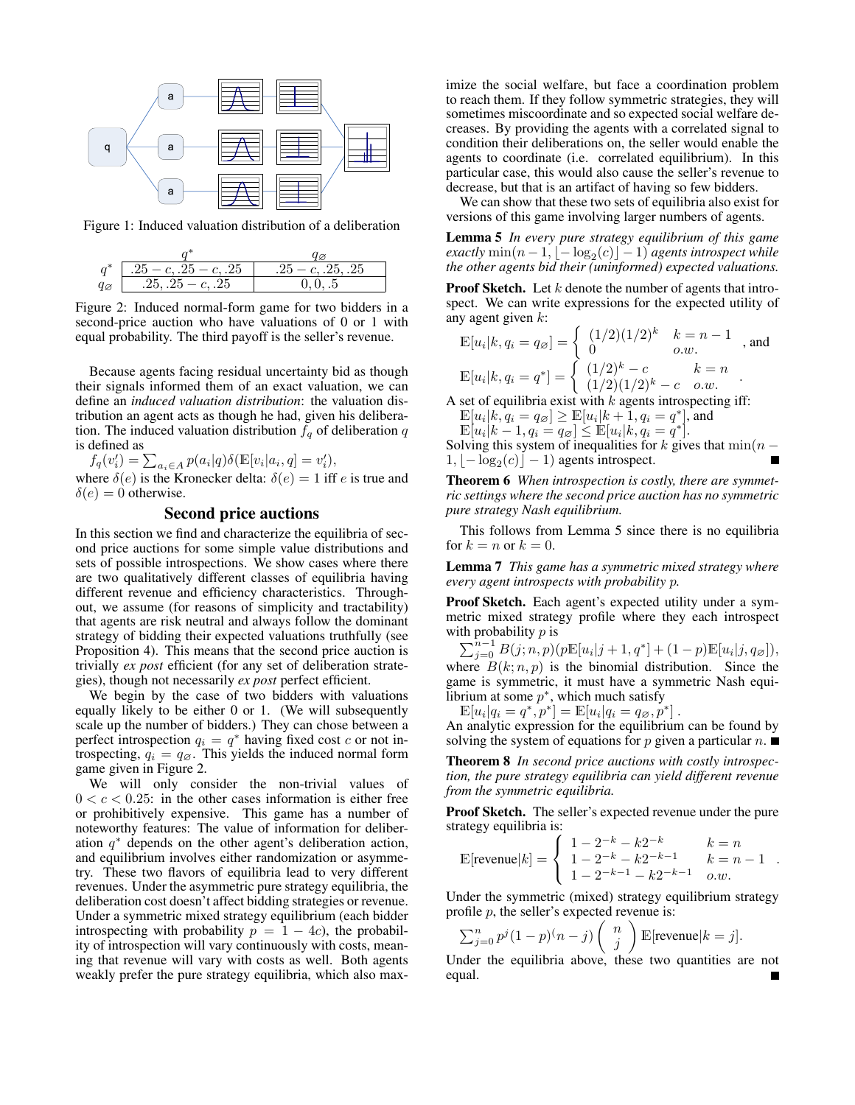

Figure 1: Induced valuation distribution of a deliberation

| $a^*$             | $.25 - c$ , $.25 - c$ , $.25$ | $.25 - c, .25, .25$ |  |  |  |
|-------------------|-------------------------------|---------------------|--|--|--|
| $q_{\varnothing}$ | $.25, .25 - c, .25$           | 0.0.05              |  |  |  |

Figure 2: Induced normal-form game for two bidders in a second-price auction who have valuations of 0 or 1 with equal probability. The third payoff is the seller's revenue.

Because agents facing residual uncertainty bid as though their signals informed them of an exact valuation, we can define an *induced valuation distribution*: the valuation distribution an agent acts as though he had, given his deliberation. The induced valuation distribution  $f_q$  of deliberation  $q$ is defined as

 $f_q(v'_i) = \sum_{a_i \in A} p(a_i|q) \delta(\mathbb{E}[v_i|a_i, q] = v'_i),$ where  $\delta(e)$  is the Kronecker delta:  $\delta(e) = 1$  iff e is true and  $\delta(e) = 0$  otherwise.

## Second price auctions

In this section we find and characterize the equilibria of second price auctions for some simple value distributions and sets of possible introspections. We show cases where there are two qualitatively different classes of equilibria having different revenue and efficiency characteristics. Throughout, we assume (for reasons of simplicity and tractability) that agents are risk neutral and always follow the dominant strategy of bidding their expected valuations truthfully (see Proposition 4). This means that the second price auction is trivially *ex post* efficient (for any set of deliberation strategies), though not necessarily *ex post* perfect efficient.

We begin by the case of two bidders with valuations equally likely to be either 0 or 1. (We will subsequently scale up the number of bidders.) They can chose between a perfect introspection  $q_i = q^*$  having fixed cost c or not introspecting,  $q_i = q_{\emptyset}$ . This yields the induced normal form game given in Figure 2.

We will only consider the non-trivial values of  $0 < c < 0.25$ : in the other cases information is either free or prohibitively expensive. This game has a number of noteworthy features: The value of information for deliberation  $q^*$  depends on the other agent's deliberation action, and equilibrium involves either randomization or asymmetry. These two flavors of equilibria lead to very different revenues. Under the asymmetric pure strategy equilibria, the deliberation cost doesn't affect bidding strategies or revenue. Under a symmetric mixed strategy equilibrium (each bidder introspecting with probability  $p = 1 - 4c$ , the probability of introspection will vary continuously with costs, meaning that revenue will vary with costs as well. Both agents weakly prefer the pure strategy equilibria, which also max-

imize the social welfare, but face a coordination problem to reach them. If they follow symmetric strategies, they will sometimes miscoordinate and so expected social welfare decreases. By providing the agents with a correlated signal to condition their deliberations on, the seller would enable the agents to coordinate (i.e. correlated equilibrium). In this particular case, this would also cause the seller's revenue to decrease, but that is an artifact of having so few bidders.

We can show that these two sets of equilibria also exist for versions of this game involving larger numbers of agents.

Lemma 5 *In every pure strategy equilibrium of this game*  $\textit{exactly}\min(n-1,\lfloor-\log_2(c)\rfloor-1)$  agents introspect while *the other agents bid their (uninformed) expected valuations.*

**Proof Sketch.** Let  $k$  denote the number of agents that introspect. We can write expressions for the expected utility of any agent given  $k$ :

$$
\mathbb{E}[u_i|k, q_i = q_\varnothing] = \begin{cases} (1/2)(1/2)^k & k = n - 1 \\ 0 & o.w. \end{cases}
$$
, and  

$$
\mathbb{E}[u_i|k, q_i = q^*] = \begin{cases} (1/2)^k - c & k = n \\ (1/2)(1/2)^k - c & o.w. \end{cases}
$$
.

A set of equilibria exist with  $k$  agents introspecting iff:

 $\mathbb{E}[u_i|k, q_i = q_{\varnothing}] \ge \mathbb{E}[u_i|k+1, q_i = q^*]$ , and  $\mathbb{E}[u_i|k-1, q_i = q_{\varnothing}] \leq \mathbb{E}[u_i|k, q_i = q^*].$ 

Solving this system of inequalities for k gives that  $\min(n 1, \lfloor -\log_2(c) \rfloor - 1$ ) agents introspect.

Theorem 6 *When introspection is costly, there are symmetric settings where the second price auction has no symmetric pure strategy Nash equilibrium.*

This follows from Lemma 5 since there is no equilibria for  $k = n$  or  $k = 0$ .

Lemma 7 *This game has a symmetric mixed strategy where every agent introspects with probability* p*.*

Proof Sketch. Each agent's expected utility under a symmetric mixed strategy profile where they each introspect with probability  $p$  is

 $\sum_{j=0}^{n-1} B(j; n, p) (p \mathbb{E}[u_i | j+1, q^*] + (1-p) \mathbb{E}[u_i | j, q_{\varnothing}]),$ where  $B(k; n, p)$  is the binomial distribution. Since the game is symmetric, it must have a symmetric Nash equilibrium at some  $p^*$ , which much satisfy

 $\mathbb{E}[u_i|q_i = q^*, p^*] = \mathbb{E}[u_i|q_i = q_{\varnothing}, p^*].$ 

An analytic expression for the equilibrium can be found by solving the system of equations for p given a particular  $n$ .

Theorem 8 *In second price auctions with costly introspection, the pure strategy equilibria can yield different revenue from the symmetric equilibria.*

Proof Sketch. The seller's expected revenue under the pure strategy equilibria is:

$$
\mathbb{E}[\text{revenue}|k] = \begin{cases} 1 - 2^{-k} - k2^{-k} & k = n \\ 1 - 2^{-k} - k2^{-k-1} & k = n - 1 \\ 1 - 2^{-k-1} - k2^{-k-1} & o.w. \end{cases}
$$

Under the symmetric (mixed) strategy equilibrium strategy profile  $p$ , the seller's expected revenue is:

$$
\sum_{j=0}^{n} p^{j} (1-p)^{(n-j)} \binom{n}{j} \mathbb{E}[\text{revenue} | k = j].
$$

Under the equilibria above, these two quantities are not equal.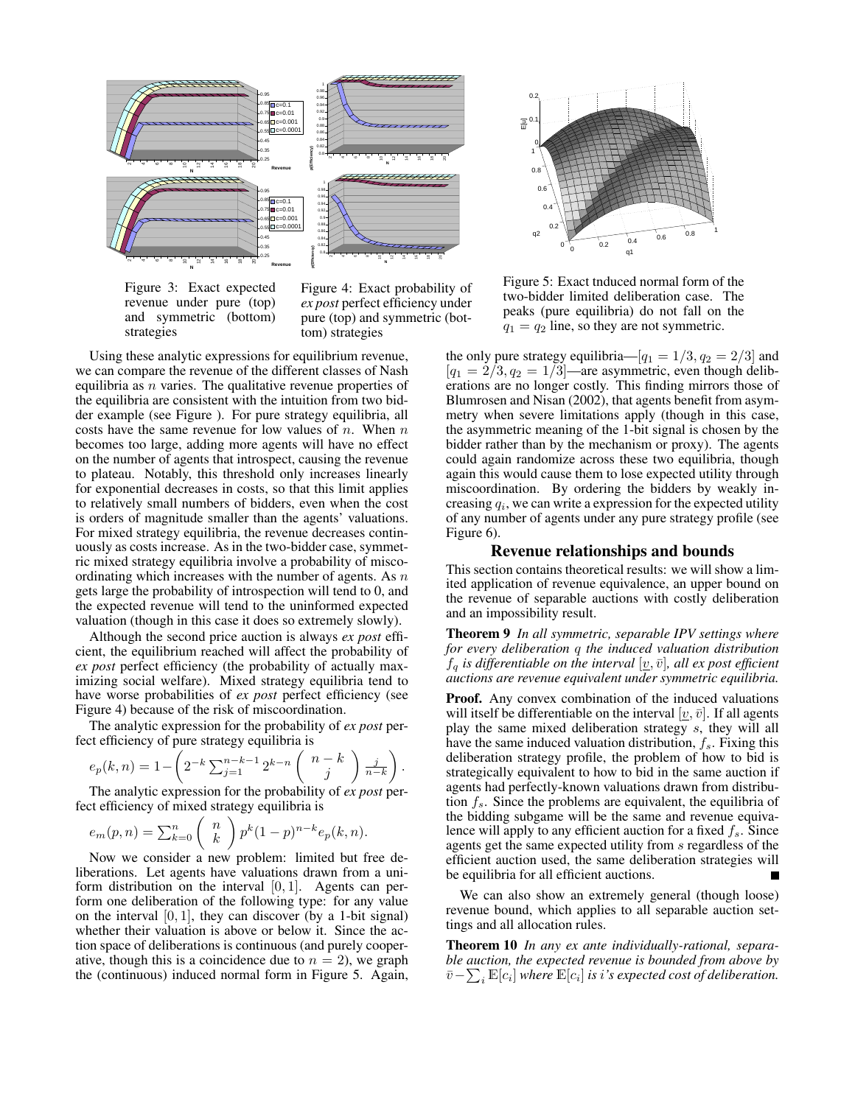

Figure 3: Exact expected revenue under pure (top) and symmetric (bottom) strategies

Figure 4: Exact probability of *ex post* perfect efficiency under pure (top) and symmetric (bottom) strategies

Using these analytic expressions for equilibrium revenue, we can compare the revenue of the different classes of Nash equilibria as  $n$  varies. The qualitative revenue properties of the equilibria are consistent with the intuition from two bidder example (see Figure ). For pure strategy equilibria, all costs have the same revenue for low values of  $n$ . When  $n$ becomes too large, adding more agents will have no effect on the number of agents that introspect, causing the revenue to plateau. Notably, this threshold only increases linearly for exponential decreases in costs, so that this limit applies to relatively small numbers of bidders, even when the cost is orders of magnitude smaller than the agents' valuations. For mixed strategy equilibria, the revenue decreases continuously as costs increase. As in the two-bidder case, symmetric mixed strategy equilibria involve a probability of miscoordinating which increases with the number of agents. As  $n$ gets large the probability of introspection will tend to 0, and the expected revenue will tend to the uninformed expected valuation (though in this case it does so extremely slowly).

Although the second price auction is always *ex post* efficient, the equilibrium reached will affect the probability of *ex post* perfect efficiency (the probability of actually maximizing social welfare). Mixed strategy equilibria tend to have worse probabilities of *ex post* perfect efficiency (see Figure 4) because of the risk of miscoordination.

The analytic expression for the probability of *ex post* perfect efficiency of pure strategy equilibria is

$$
e_p(k,n) = 1 - \left(2^{-k} \sum_{j=1}^{n-k-1} 2^{k-n} \binom{n-k}{j} \frac{j}{n-k}\right).
$$

The analytic expression for the probability of *ex post* perfect efficiency of mixed strategy equilibria is

$$
e_m(p,n) = \sum_{k=0}^n {n \choose k} p^k (1-p)^{n-k} e_p(k,n).
$$

Now we consider a new problem: limited but free deliberations. Let agents have valuations drawn from a uniform distribution on the interval  $[0, 1]$ . Agents can perform one deliberation of the following type: for any value on the interval  $[0, 1]$ , they can discover (by a 1-bit signal) whether their valuation is above or below it. Since the action space of deliberations is continuous (and purely cooperative, though this is a coincidence due to  $n = 2$ ), we graph the (continuous) induced normal form in Figure 5. Again,



Figure 5: Exact tnduced normal form of the two-bidder limited deliberation case. The peaks (pure equilibria) do not fall on the  $q_1 = q_2$  line, so they are not symmetric.

the only pure strategy equilibria— $[q_1 = 1/3, q_2 = 2/3]$  and  $[q_1 = 2/3, q_2 = 1/3]$ —are asymmetric, even though deliberations are no longer costly. This finding mirrors those of Blumrosen and Nisan (2002), that agents benefit from asymmetry when severe limitations apply (though in this case, the asymmetric meaning of the 1-bit signal is chosen by the bidder rather than by the mechanism or proxy). The agents could again randomize across these two equilibria, though again this would cause them to lose expected utility through miscoordination. By ordering the bidders by weakly increasing  $q_i$ , we can write a expression for the expected utility of any number of agents under any pure strategy profile (see Figure 6).

#### Revenue relationships and bounds

This section contains theoretical results: we will show a limited application of revenue equivalence, an upper bound on the revenue of separable auctions with costly deliberation and an impossibility result.

Theorem 9 *In all symmetric, separable IPV settings where for every deliberation* q *the induced valuation distribution*  $f_q$  *is differentiable on the interval*  $[\underline{v}, \bar{v}]$ *, all ex post efficient auctions are revenue equivalent under symmetric equilibria.*

Proof. Any convex combination of the induced valuations will itself be differentiable on the interval  $[v, \bar{v}]$ . If all agents play the same mixed deliberation strategy s, they will all have the same induced valuation distribution,  $f_s$ . Fixing this deliberation strategy profile, the problem of how to bid is strategically equivalent to how to bid in the same auction if agents had perfectly-known valuations drawn from distribution  $f_s$ . Since the problems are equivalent, the equilibria of the bidding subgame will be the same and revenue equivalence will apply to any efficient auction for a fixed  $f_s$ . Since agents get the same expected utility from s regardless of the efficient auction used, the same deliberation strategies will be equilibria for all efficient auctions.

We can also show an extremely general (though loose) revenue bound, which applies to all separable auction settings and all allocation rules.

Theorem 10 *In any ex ante individually-rational, separable auction, the expected revenue is bounded from above by*  $\bar{v}$ − $\sum_i \mathbb{E}[c_i]$  where  $\mathbb{E}[c_i]$  is i's expected cost of deliberation.